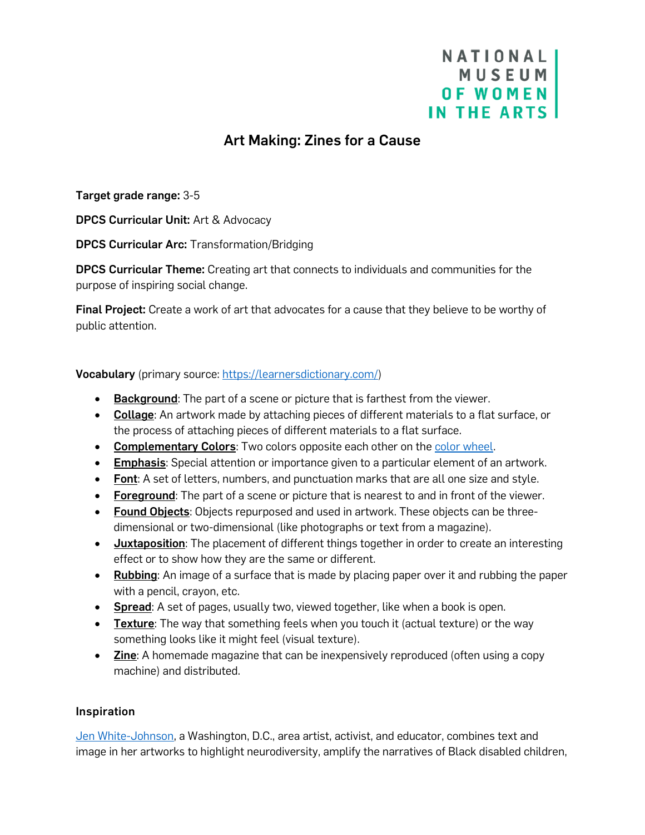# NATIONAL **MUSEUM OF WOMEN** IN THE ARTS

## Art Making: Zines for a Cause

Target grade range: 3-5

DPCS Curricular Unit: Art & Advocacy

DPCS Curricular Arc: Transformation/Bridging

DPCS Curricular Theme: Creating art that connects to individuals and communities for the purpose of inspiring social change.

Final Project: Create a work of art that advocates for a cause that they believe to be worthy of public attention.

Vocabulary (primary source: [https://learnersdictionary.com/\)](https://learnersdictionary.com/)

- Background: The part of a scene or picture that is farthest from the viewer.
- Collage: An artwork made by attaching pieces of different materials to a flat surface, or the process of attaching pieces of different materials to a flat surface.
- Complementary Colors: Two colors opposite each other on th[e color wheel.](https://thebass.org/wp-content/uploads/2020/04/colourwheel01.gif)
- **Emphasis:** Special attention or importance given to a particular element of an artwork.
- Font: A set of letters, numbers, and punctuation marks that are all one size and style.
- Foreground: The part of a scene or picture that is nearest to and in front of the viewer.
- Found Objects: Objects repurposed and used in artwork. These objects can be threedimensional or two-dimensional (like photographs or text from a magazine).
- Juxtaposition: The placement of different things together in order to create an interesting effect or to show how they are the same or different.
- Rubbing: An image of a surface that is made by placing paper over it and rubbing the paper with a pencil, crayon, etc.
- Spread: A set of pages, usually two, viewed together, like when a book is open.
- Texture: The way that something feels when you touch it (actual texture) or the way something looks like it might feel (visual texture).
- **Zine:** A homemade magazine that can be inexpensively reproduced (often using a copy machine) and distributed.

#### Inspiration

[Jen White-Johnson,](https://jenwhitejohnson.com/) a Washington, D.C., area artist, activist, and educator, combines text and image in her artworks to highlight neurodiversity, amplify the narratives of Black disabled children,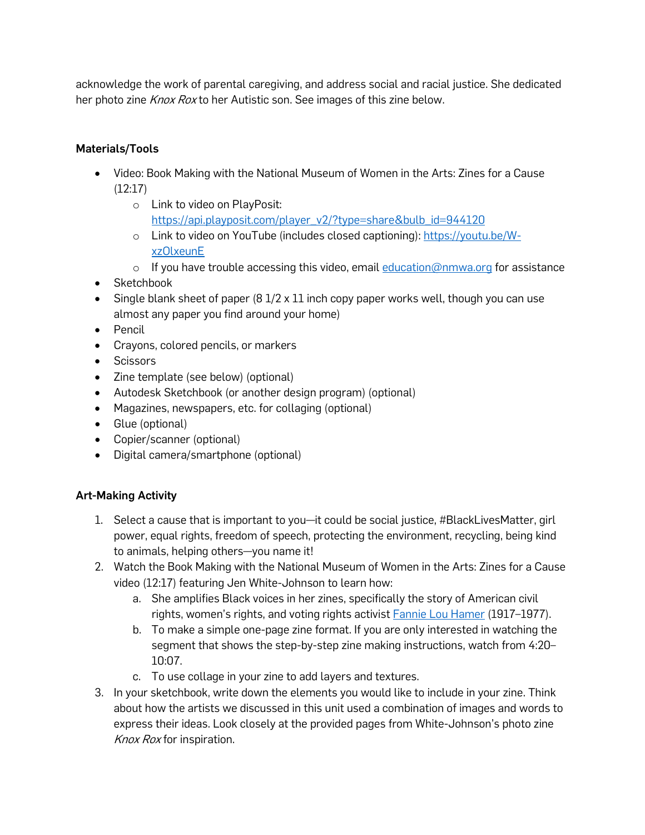acknowledge the work of parental caregiving, and address social and racial justice. She dedicated her photo zine *Knox Rox* to her Autistic son. See images of this zine below.

### Materials/Tools

- Video: Book Making with the National Museum of Women in the Arts: Zines for a Cause  $(12:17)$ 
	- o Link to video on PlayPosit: [https://api.playposit.com/player\\_v2/?type=share&bulb\\_id=944120](https://api.playposit.com/player_v2/?type=share&bulb_id=944120)
	- o Link to video on YouTube (includes closed captioning): [https://youtu.be/W](https://youtu.be/W-xzOlxeunE)[xzOlxeunE](https://youtu.be/W-xzOlxeunE)
	- $\circ$  If you have trouble accessing this video, email [education@nmwa.org](mailto:education@nmwa.org) for assistance
- Sketchbook
- Single blank sheet of paper  $(8\frac{1}{2} \times 11)$  inch copy paper works well, though you can use almost any paper you find around your home)
- Pencil
- Crayons, colored pencils, or markers
- Scissors
- Zine template (see below) (optional)
- Autodesk Sketchbook (or another design program) (optional)
- Magazines, newspapers, etc. for collaging (optional)
- Glue (optional)
- Copier/scanner (optional)
- Digital camera/smartphone (optional)

#### Art-Making Activity

- 1. Select a cause that is important to you—it could be social justice, #BlackLivesMatter, girl power, equal rights, freedom of speech, protecting the environment, recycling, being kind to animals, helping others—you name it!
- 2. Watch the Book Making with the National Museum of Women in the Arts: Zines for a Cause video (12:17) featuring Jen White-Johnson to learn how:
	- a. She amplifies Black voices in her zines, specifically the story of American civil rights, women's rights, and voting rights activist **[Fannie Lou Hamer](https://www.womenshistory.org/education-resources/biographies/fannie-lou-hamer) (1917–1977)**.
	- b. To make a simple one-page zine format. If you are only interested in watching the segment that shows the step-by-step zine making instructions, watch from 4:20– 10:07.
	- c. To use collage in your zine to add layers and textures.
- 3. In your sketchbook, write down the elements you would like to include in your zine. Think about how the artists we discussed in this unit used a combination of images and words to express their ideas. Look closely at the provided pages from White-Johnson's photo zine Knox Rox for inspiration.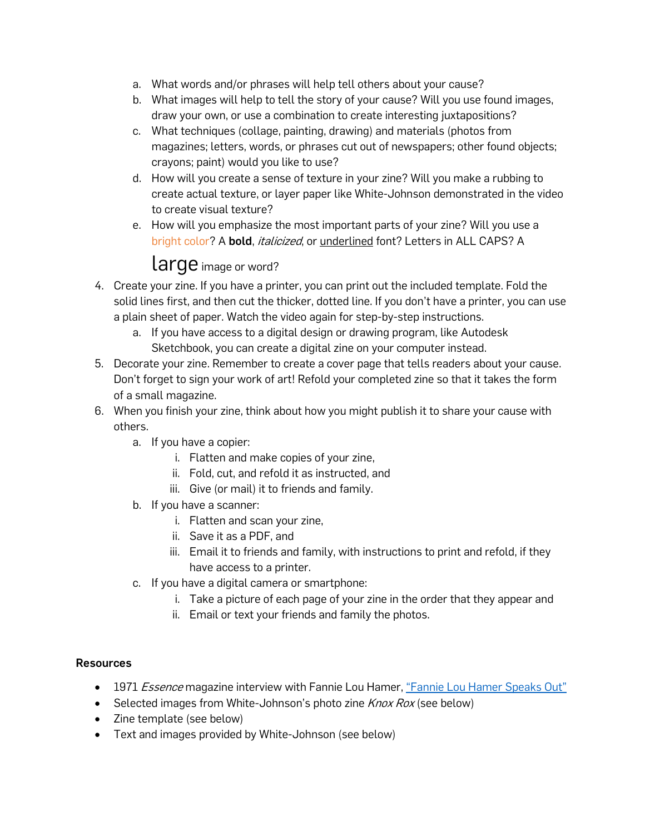- a. What words and/or phrases will help tell others about your cause?
- b. What images will help to tell the story of your cause? Will you use found images, draw your own, or use a combination to create interesting juxtapositions?
- c. What techniques (collage, painting, drawing) and materials (photos from magazines; letters, words, or phrases cut out of newspapers; other found objects; crayons; paint) would you like to use?
- d. How will you create a sense of texture in your zine? Will you make a rubbing to create actual texture, or layer paper like White-Johnson demonstrated in the video to create visual texture?
- e. How will you emphasize the most important parts of your zine? Will you use a bright color? A bold, *italicized*, or underlined font? Letters in ALL CAPS? A

# large image or word?

- 4. Create your zine. If you have a printer, you can print out the included template. Fold the solid lines first, and then cut the thicker, dotted line. If you don't have a printer, you can use a plain sheet of paper. Watch the video again for step-by-step instructions.
	- a. If you have access to a digital design or drawing program, like Autodesk Sketchbook, you can create a digital zine on your computer instead.
- 5. Decorate your zine. Remember to create a cover page that tells readers about your cause. Don't forget to sign your work of art! Refold your completed zine so that it takes the form of a small magazine.
- 6. When you finish your zine, think about how you might publish it to share your cause with others.
	- a. If you have a copier:
		- i. Flatten and make copies of your zine,
		- ii. Fold, cut, and refold it as instructed, and
		- iii. Give (or mail) it to friends and family.
	- b. If you have a scanner:
		- i. Flatten and scan your zine,
		- ii. Save it as a PDF, and
		- iii. Email it to friends and family, with instructions to print and refold, if they have access to a printer.
	- c. If you have a digital camera or smartphone:
		- i. Take a picture of each page of your zine in the order that they appear and
		- ii. Email or text your friends and family the photos.

### **Resources**

- 1971 *Essence* magazine interview with Fannie Lou Hamer[, "Fannie Lou Hamer Speaks Out"](https://thelouisdraperproject.wordpress.com/2013/05/14/536/draper-fannielouhameressencemagazine-2/#main)
- Selected images from White-Johnson's photo zine  $K$ nox  $R$ ox (see below)
- Zine template (see below)
- Text and images provided by White-Johnson (see below)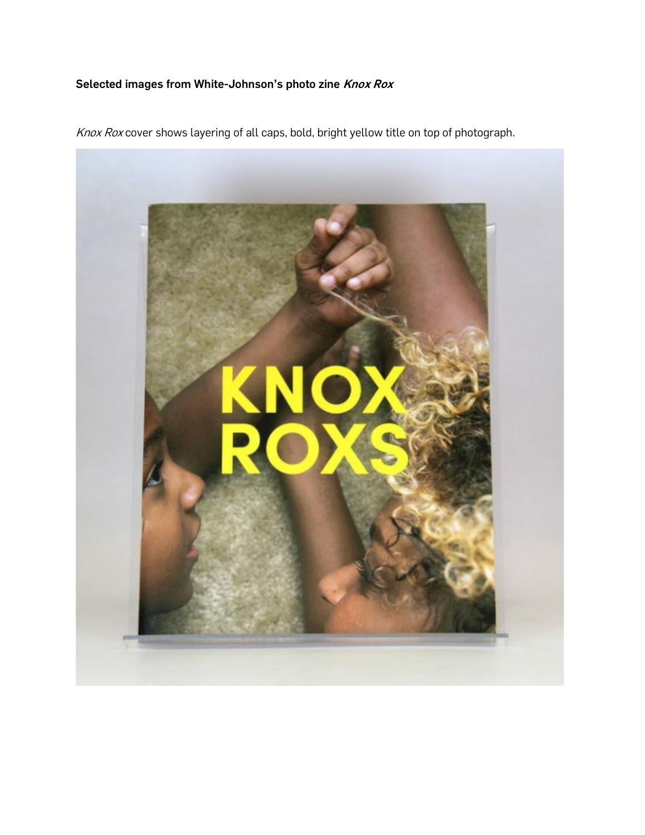## Selected images from White-Johnson's photo zine Knox Rox

Knox Rox cover shows layering of all caps, bold, bright yellow title on top of photograph.